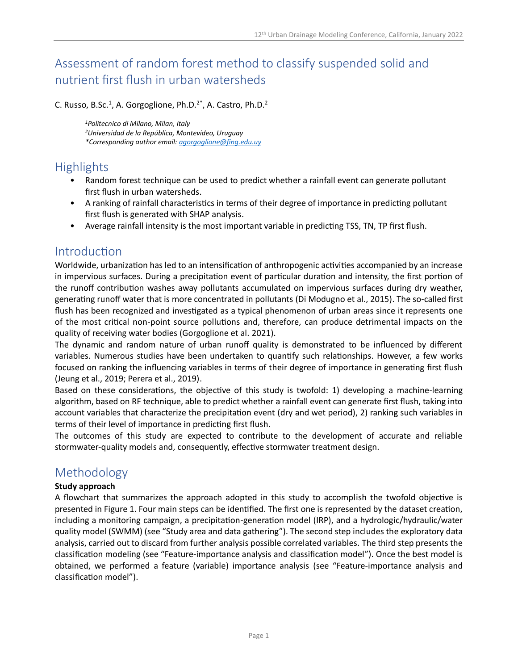# Assessment of random forest method to classify suspended solid and nutrient first flush in urban watersheds

C. Russo, B.Sc.<sup>1</sup>, A. Gorgoglione, Ph.D.<sup>2\*</sup>, A. Castro, Ph.D.<sup>2</sup>

*<sup>1</sup>Politecnico di Milano, Milan, Italy <sup>2</sup>Universidad de la República, Montevideo, Uruguay \*Corresponding author email[: agorgoglione@fing.edu.uy](mailto:agorgoglione@fing.edu.uy)*

## Highlights

- Random forest technique can be used to predict whether a rainfall event can generate pollutant first flush in urban watersheds.
- A ranking of rainfall characteristics in terms of their degree of importance in predicting pollutant first flush is generated with SHAP analysis.
- Average rainfall intensity is the most important variable in predicting TSS, TN, TP first flush.

### Introduction

Worldwide, urbanization has led to an intensification of anthropogenic activities accompanied by an increase in impervious surfaces. During a precipitation event of particular duration and intensity, the first portion of the runoff contribution washes away pollutants accumulated on impervious surfaces during dry weather, generating runoff water that is more concentrated in pollutants (Di Modugno et al., 2015). The so-called first flush has been recognized and investigated as a typical phenomenon of urban areas since it represents one of the most critical non-point source pollutions and, therefore, can produce detrimental impacts on the quality of receiving water bodies (Gorgoglione et al. 2021).

The dynamic and random nature of urban runoff quality is demonstrated to be influenced by different variables. Numerous studies have been undertaken to quantify such relationships. However, a few works focused on ranking the influencing variables in terms of their degree of importance in generating first flush (Jeung et al., 2019; Perera et al., 2019).

Based on these considerations, the objective of this study is twofold: 1) developing a machine-learning algorithm, based on RF technique, able to predict whether a rainfall event can generate first flush, taking into account variables that characterize the precipitation event (dry and wet period), 2) ranking such variables in terms of their level of importance in predicting first flush.

The outcomes of this study are expected to contribute to the development of accurate and reliable stormwater-quality models and, consequently, effective stormwater treatment design.

## Methodology

#### **Study approach**

A flowchart that summarizes the approach adopted in this study to accomplish the twofold objective is presented in Figure 1. Four main steps can be identified. The first one is represented by the dataset creation, including a monitoring campaign, a precipitation-generation model (IRP), and a hydrologic/hydraulic/water quality model (SWMM) (see "Study area and data gathering"). The second step includes the exploratory data analysis, carried out to discard from further analysis possible correlated variables. The third step presents the classification modeling (see "Feature-importance analysis and classification model"). Once the best model is obtained, we performed a feature (variable) importance analysis (see "Feature-importance analysis and classification model").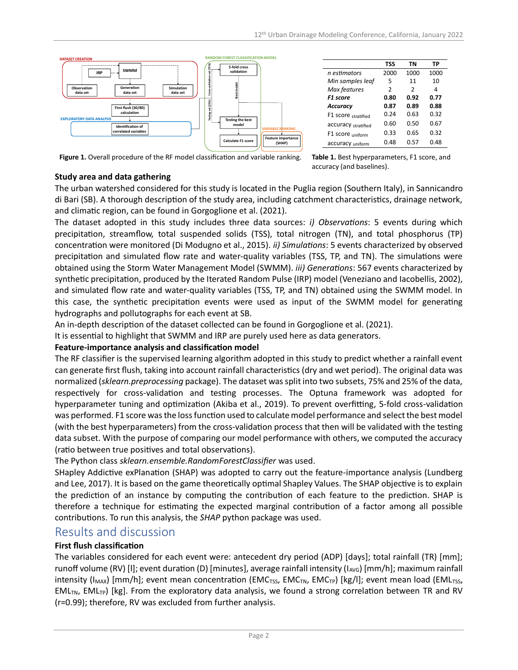

|                     | <b>TSS</b>    | TN            | TP   |
|---------------------|---------------|---------------|------|
| n estimators        | 2000          | 1000          | 1000 |
| Min samples leaf    | 5             | 11            | 10   |
| Max features        | $\mathcal{P}$ | $\mathcal{P}$ | 4    |
| <b>F1</b> score     | 0.80          | 0.92          | 0.77 |
| <b>Accuracy</b>     | 0.87          | 0.89          | 0.88 |
| F1 score stratified | 0.24          | 0.63          | 0.32 |
| accuracy stratified | 0.60          | 0.50          | 0.67 |
| F1 score uniform    | 0.33          | 0.65          | 0.32 |
| accuracy uniform    | 0.48          | 0.57          | 0.48 |

**Figure 1.** Overall procedure of the RF model classification and variable ranking. **Table 1.** Best hyperparameters, F1 score, and

accuracy (and baselines).

#### **Study area and data gathering**

The urban watershed considered for this study is located in the Puglia region (Southern Italy), in Sannicandro di Bari (SB). A thorough description of the study area, including catchment characteristics, drainage network, and climatic region, can be found in Gorgoglione et al. (2021).

The dataset adopted in this study includes three data sources: *i) Observations*: 5 events during which precipitation, streamflow, total suspended solids (TSS), total nitrogen (TN), and total phosphorus (TP) concentration were monitored (Di Modugno et al., 2015). *ii) Simulations*: 5 events characterized by observed precipitation and simulated flow rate and water-quality variables (TSS, TP, and TN). The simulations were obtained using the Storm Water Management Model (SWMM). *iii) Generations*: 567 events characterized by synthetic precipitation, produced by the Iterated Random Pulse (IRP) model (Veneziano and Iacobellis, 2002), and simulated flow rate and water-quality variables (TSS, TP, and TN) obtained using the SWMM model. In this case, the synthetic precipitation events were used as input of the SWMM model for generating hydrographs and pollutographs for each event at SB.

An in-depth description of the dataset collected can be found in Gorgoglione et al. (2021).

It is essential to highlight that SWMM and IRP are purely used here as data generators.

#### **Feature-importance analysis and classification model**

The RF classifier is the supervised learning algorithm adopted in this study to predict whether a rainfall event can generate first flush, taking into account rainfall characteristics (dry and wet period). The original data was normalized (*sklearn.preprocessing* package). The dataset was split into two subsets, 75% and 25% of the data, respectively for cross-validation and testing processes. The Optuna framework was adopted for hyperparameter tuning and optimization (Akiba et al., 2019). To prevent overfitting, 5-fold cross-validation was performed. F1 score was the loss function used to calculate model performance and select the best model (with the best hyperparameters) from the cross-validation process that then will be validated with the testing data subset. With the purpose of comparing our model performance with others, we computed the accuracy (ratio between true positives and total observations).

The Python class *sklearn.ensemble.RandomForestClassifier* was used.

SHapley Addictive exPlanation (SHAP) was adopted to carry out the feature-importance analysis (Lundberg and Lee, 2017). It is based on the game theoretically optimal Shapley Values. The SHAP objective is to explain the prediction of an instance by computing the contribution of each feature to the prediction. SHAP is therefore a technique for estimating the expected marginal contribution of a factor among all possible contributions. To run this analysis, the *SHAP* python package was used.

### Results and discussion

#### **First flush classification**

The variables considered for each event were: antecedent dry period (ADP) [days]; total rainfall (TR) [mm]; runoff volume (RV) [I]; event duration (D) [minutes], average rainfall intensity ( $I_{AVG}$ ) [mm/h]; maximum rainfall intensity ( $I_{MAX}$ ) [mm/h]; event mean concentration (EMC<sub>TSS</sub>, EMC<sub>TN</sub>, EMC<sub>TP</sub>) [kg/l]; event mean load (EML<sub>TSS</sub>,  $EML_{TN}$ , EML<sub>TP</sub>) [kg]. From the exploratory data analysis, we found a strong correlation between TR and RV (r=0.99); therefore, RV was excluded from further analysis.